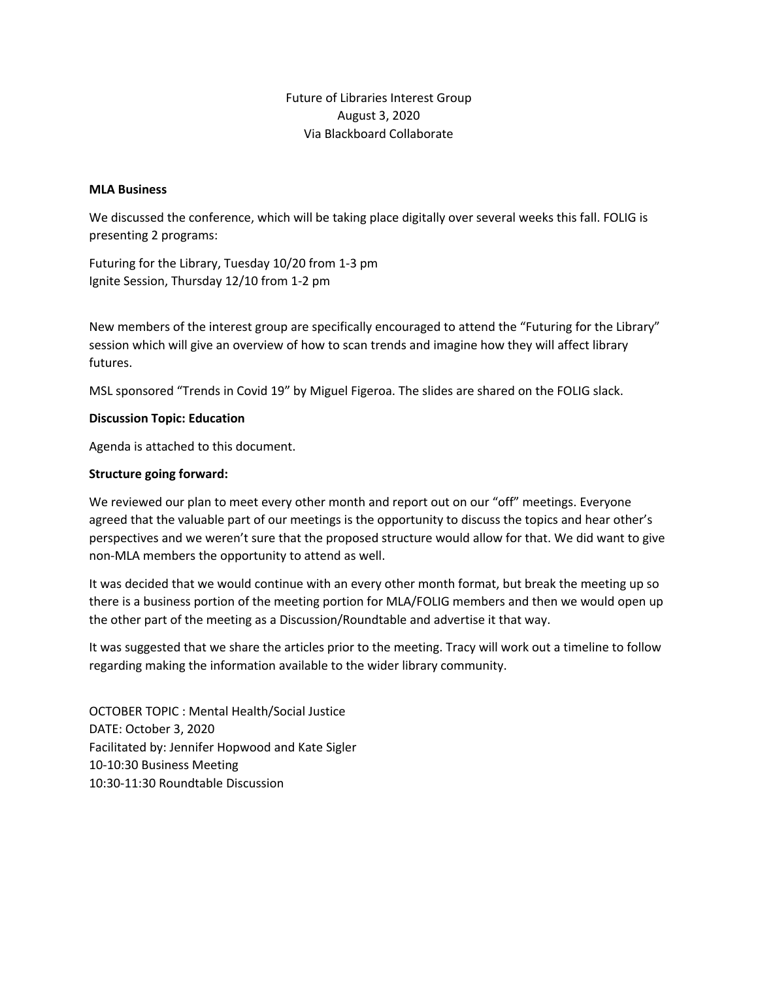# Future of Libraries Interest Group August 3, 2020 Via Blackboard Collaborate

#### **MLA Business**

We discussed the conference, which will be taking place digitally over several weeks this fall. FOLIG is presenting 2 programs:

Futuring for the Library, Tuesday 10/20 from 1-3 pm Ignite Session, Thursday 12/10 from 1-2 pm

New members of the interest group are specifically encouraged to attend the "Futuring for the Library" session which will give an overview of how to scan trends and imagine how they will affect library futures.

MSL sponsored "Trends in Covid 19" by Miguel Figeroa. The slides are shared on the FOLIG slack.

### **Discussion Topic: Education**

Agenda is attached to this document.

### **Structure going forward:**

We reviewed our plan to meet every other month and report out on our "off" meetings. Everyone agreed that the valuable part of our meetings is the opportunity to discuss the topics and hear other's perspectives and we weren't sure that the proposed structure would allow for that. We did want to give non-MLA members the opportunity to attend as well.

It was decided that we would continue with an every other month format, but break the meeting up so there is a business portion of the meeting portion for MLA/FOLIG members and then we would open up the other part of the meeting as a Discussion/Roundtable and advertise it that way.

It was suggested that we share the articles prior to the meeting. Tracy will work out a timeline to follow regarding making the information available to the wider library community.

OCTOBER TOPIC : Mental Health/Social Justice DATE: October 3, 2020 Facilitated by: Jennifer Hopwood and Kate Sigler 10-10:30 Business Meeting 10:30-11:30 Roundtable Discussion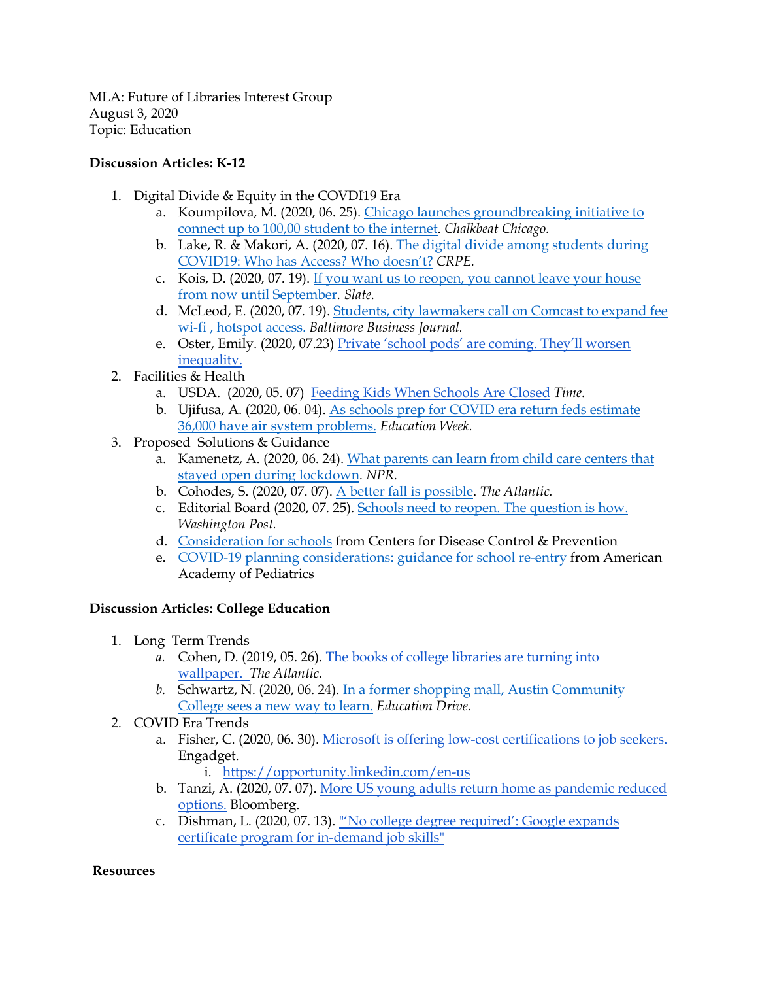MLA: Future of Libraries Interest Group August 3, 2020 Topic: Education

# **Discussion Articles: K-12**

- 1. Digital Divide & Equity in the COVDI19 Era
	- a. Koumpilova, M. (2020, 06. 25). Chicago launches groundbreaking initiative to connect up to 100,00 student to the internet. *Chalkbeat Chicago.*
	- b. Lake, R. & Makori, A. (2020, 07. 16). The digital divide among students during COVID19: Who has Access? Who doesn't? *CRPE.*
	- c. Kois, D. (2020, 07. 19). If you want us to reopen, you cannot leave your house from now until September*. Slate.*
	- d. McLeod, E. (2020, 07. 19). Students, city lawmakers call on Comcast to expand fee wi-fi , hotspot access. *Baltimore Business Journal.*
	- e. Oster, Emily. (2020, 07.23) Private 'school pods' are coming. They'll worsen inequality.
- 2. Facilities & Health
	- a. USDA. (2020, 05. 07) Feeding Kids When Schools Are Closed *Time.*
	- b. Ujifusa, A. (2020, 06. 04). As schools prep for COVID era return feds estimate 36,000 have air system problems. *Education Week.*
- 3. Proposed Solutions & Guidance
	- a. Kamenetz, A. (2020, 06. 24). What parents can learn from child care centers that stayed open during lockdown. *NPR.*
	- b. Cohodes, S. (2020, 07. 07). A better fall is possible. *The Atlantic.*
	- c. Editorial Board (2020, 07. 25). Schools need to reopen. The question is how. *Washington Post.*
	- d. Consideration for schools from Centers for Disease Control & Prevention
	- e. COVID-19 planning considerations: guidance for school re-entry from American Academy of Pediatrics

## **Discussion Articles: College Education**

- 1. Long Term Trends
	- *a.* Cohen, D. (2019, 05. 26). The books of college libraries are turning into wallpaper. *The Atlantic.*
	- *b.* Schwartz, N. (2020, 06. 24). In a former shopping mall, Austin Community College sees a new way to learn. *Education Drive.*
- 2. COVID Era Trends
	- a. Fisher, C. (2020, 06. 30). Microsoft is offering low-cost certifications to job seekers. Engadget.

i. https://opportunity.linkedin.com/en-us

- b. Tanzi, A. (2020, 07. 07). More US young adults return home as pandemic reduced options. Bloomberg.
- c. Dishman, L. (2020, 07. 13). "'No college degree required': Google expands certificate program for in-demand job skills"

## **Resources**